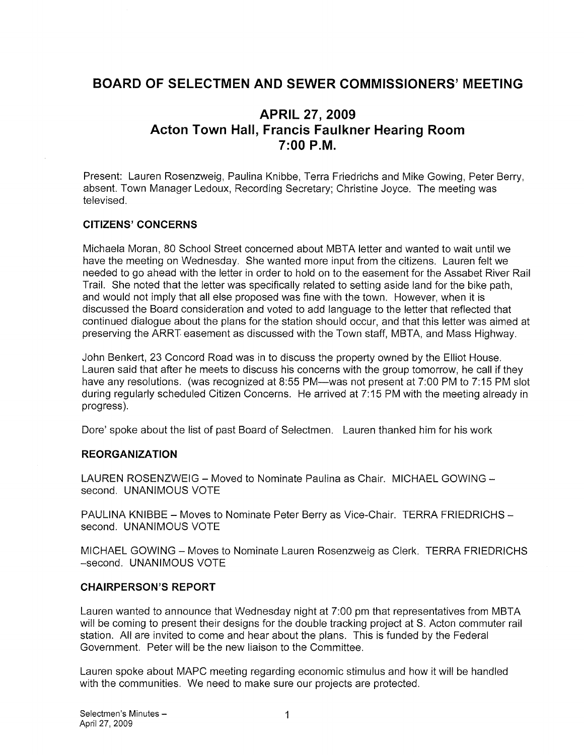# BOARD OF SELECTMEN AND SEWER COMMISSIONERS' MEETING

# APRIL 27, 2009 Acton Town Hall, Francis Faulkner Hearing Room 7:00 P.M.

Present: Lauren Rosenzweig, Paulina Knibbe, Terra Friedrichs and Mike Gowing, Peter Berry, absent. Town Manager Ledoux, Recording Secretary; Christine Joyce. The meeting was televised.

#### CITIZENS' CONCERNS

Michaela Moran, 80 School Street concerned about MBTA letter and wanted to wait until we have the meeting on Wednesday. She wanted more input from the citizens. Lauren felt we needed to go ahead with the letter in order to hold on to the easement for the Assabet River Rail Trail. She noted that the letter was specifically related to setting aside land for the bike path, and would not imply that all else proposed was fine with the town. However, when it is discussed the Board consideration and voted to add language to the letter that reflected that continued dialogue about the plans for the station should occur, and that this letter was aimed at preserving the ARRT. easement as discussed with the Town staff, MBTA, and Mass Highway.

John Benkert, 23 Concord Road was in to discuss the property owned by the Elliot House. Lauren said that after he meets to discuss his concerns with the group tomorrow, he call if they have any resolutions. (was recognized at 8:55 PM—was not present at 7:00 PM to 7:15 PM slot during regularly scheduled Citizen Concerns. He arrived at 7:15 PM with the meeting already in progress).

Dore' spoke about the list of past Board of Selectmen. Lauren thanked him for his work

#### REORGANIZATION

LAUREN ROSENZWEIG — Moved to Nominate Paulina as Chair. MICHAEL GOWING second. UNANIMOUS VOTE

PAULINA KNIBBE — Moves to Nominate Peter Berry as Vice-Chair. TERRA FRIEDRICHS second. UNANIMOUS VOTE

MICHAEL GOWING — Moves to Nominate Lauren Rosenzweig as Clerk. TERRA FRIEDRICHS —second. UNANIMOUS VOTE

#### CHAIRPERSON'S REPORT

Lauren wanted to announce that Wednesday night at 7:00 pm that representatives from MBTA will be coming to present their designs for the double tracking project at S. Acton commuter rail station. All are invited to come and hear about the plans. This is funded by the Federal Government. Peter will be the new liaison to the Committee.

Lauren spoke about MAPC meeting regarding economic stimulus and how it will be handled with the communities. We need to make sure our projects are protected.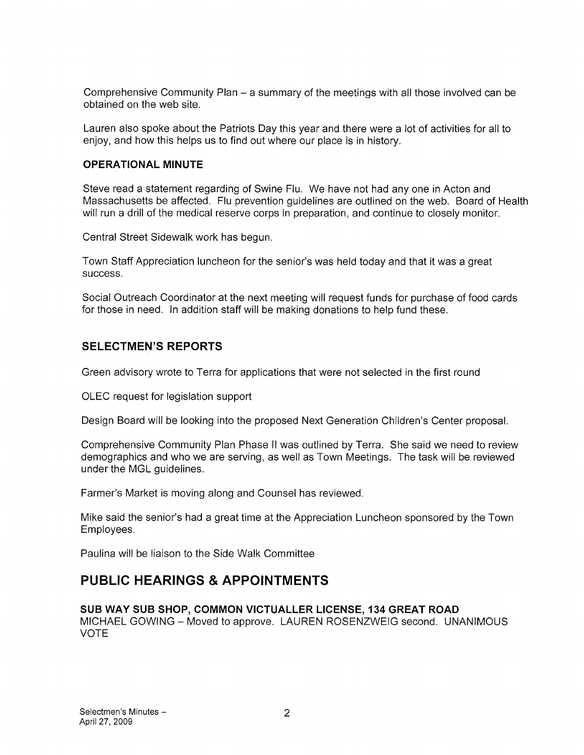Comprehensive Community Plan — a summary of the meetings with all those involved can be obtained on the web site.

Lauren also spoke about the Patriots Day this year and there were a lot of activities for all to enjoy, and how this helps us to find out where our place is in history.

#### OPERATIONAL MINUTE

Steve read a statement regarding of Swine Flu. We have not had any one in Acton and Massachusetts be affected. Flu prevention guidelines are outlined on the web. Board of Health will run a drill of the medical reserve corps in preparation, and continue to closely monitor.

Central Street Sidewalk work has begun.

Town Staff Appreciation luncheon for the senior's was held today and that it was a great success.

Social Outreach Coordinator at the next meeting will request funds for purchase of food cards for those in need. In addition staff will be making donations to help fund these.

# SELECTMEN'S REPORTS

Green advisory wrote to Terra for applications that were not selected in the first round

OLEC request for legislation support

Design Board will be looking into the proposed Next Generation Children's Center proposal.

Comprehensive Community Plan Phase II was outlined by Terra. She said we need to review demographics and who we are serving, as well as Town Meetings. The task will be reviewed under the MGL guidelines.

Farmer's Market is moving along and Counsel has reviewed.

Mike said the senior's had a great time at the Appreciation Luncheon sponsored by the Town Employees.

Paulina will be liaison to the Side Walk Committee

# PUBLIC HEARINGS & APPOINTMENTS

#### SUB WAY SUB SHOP, COMMON VICTUALLER LICENSE, 134 GREAT ROAD

MICHAEL GOWING — Moved to approve. LAUREN ROSENZWEIG second. UNANIMOUS VOTE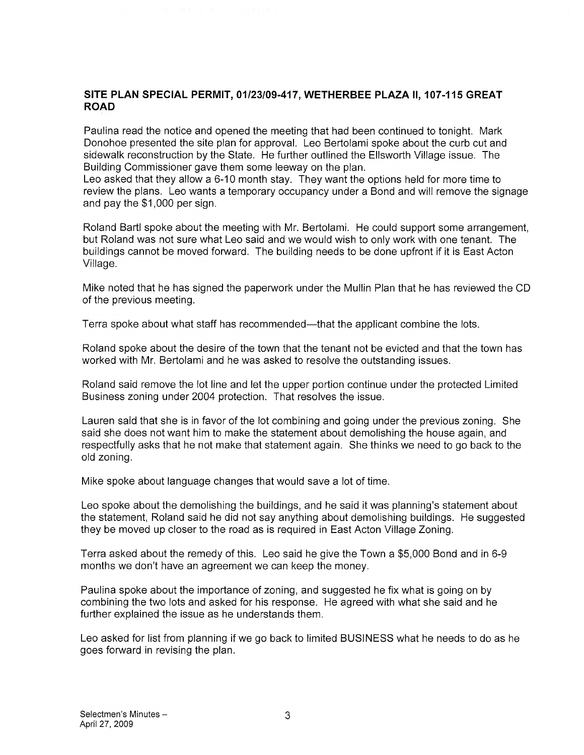#### SITE PLAN SPECIAL PERMIT, 01/23/09-417, WETHERBEE PLAZA II, 107-115 GREAT ROAD

Paulina read the notice and opened the meeting that had been continued to tonight. Mark Donohoe presented the site plan for approval. Leo Bertolami spoke about the curb cut and sidewalk reconstruction by the State. He further outlined the Ellsworth Village issue. The Building Commissioner gave them some leeway on the plan.

Leo asked that they allow a 6-10 month stay. They want the options held for more time to review the plans. Leo wants a temporary occupancy under a Bond and will remove the signage and pay the \$1,000 per sign.

Roland Bartl spoke about the meeting with Mr. Bertolami. He could support some arrangement, but Roland was not sure what Leo said and we would wish to only work with one tenant. The buildings cannot be moved forward. The building needs to be done upfront if it is East Acton Village.

Mike noted that he has signed the paperwork under the Mullin Plan that he has reviewed the CD of the previous meeting.

Terra spoke about what staff has recommended—that the applicant combine the lots.

Roland spoke about the desire of the town that the tenant not be evicted and that the town has worked with Mr. Bertolami and he was asked to resolve the outstanding issues.

Roland said remove the lot line and let the upper portion continue under the protected Limited Business zoning under 2004 protection. That resolves the issue.

Lauren said that she is in favor of the lot combining and going under the previous zoning. She said she does not want him to make the statement about demolishing the house again, and respectfully asks that he not make that statement again. She thinks we need to go back to the old zoning.

Mike spoke about language changes that would save a lot of time.

Leo spoke about the demolishing the buildings, and he said it was planning's statement about the statement, Roland said he did not say anything about demolishing buildings. He suggested they be moved up closer to the road as is required in East Acton Village Zoning.

Terra asked about the remedy of this. Leo said he give the Town a \$5,000 Bond and in 6-9 months we don't have an agreement we can keep the money.

Paulina spoke about the importance of zoning, and suggested he fix what is going on by combining the two lots and asked for his response. He agreed with what she said and he further explained the issue as he understands them.

Leo asked for list from planning if we go back to limited BUSINESS what he needs to do as he goes forward in revising the plan.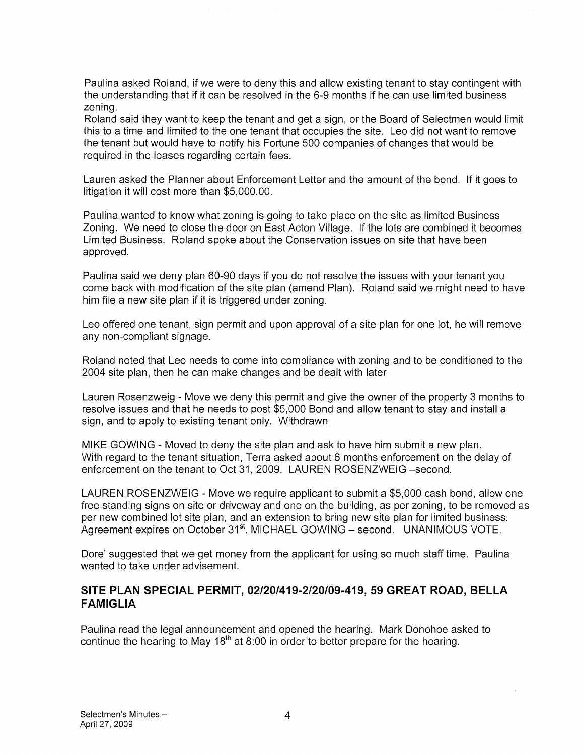Paulina asked Roland, if we were to deny this and allow existing tenant to stay contingent with the understanding that if it can be resolved in the 6-9 months if he can use limited business zoning.

Roland said they want to keep the tenant and get a sign, or the Board of Selectmen would limit this to a time and limited to the one tenant that occupies the site. Leo did not want to remove the tenant but would have to notify his Fortune 500 companies of changes that would be required in the leases regarding certain fees.

Lauren asked the Planner about Enforcement Letter and the amount of the bond. If it goes to litigation it will cost more than \$5,000.00.

Paulina wanted to know what zoning is going to take place on the site as limited Business Zoning. We need to close the door on East Acton Village. If the lots are combined it becomes Limited Business. Roland spoke about the Conservation issues on site that have been approved.

Paulina said we deny plan 60-90 days if you do not resolve the issues with your tenant you come back with modification of the site plan (amend Plan). Roland said we might need to have him file a new site plan if it is triggered under zoning.

Leo offered one tenant, sign permit and upon approval of a site plan for one lot, he will remove any non-compliant signage.

Roland noted that Leo needs to come into compliance with zoning and to be conditioned to the 2004 site plan, then he can make changes and be dealt with later

Lauren Rosenzweig - Move we deny this permit and give the owner of the property 3 months to resolve issues and that he needs to post \$5,000 Bond and allow tenant to stay and install a sign, and to apply to existing tenant only. Withdrawn

MIKE GOWING - Moved to deny the site plan and ask to have him submit a new plan. With regard to the tenant situation, Terra asked about 6 months enforcement on the delay of enforcement on the tenant to Oct 31, 2009. LAUREN ROSENZWEIG —second.

LAUREN ROSENZWEIG -Move we require applicant to submit a \$5,000 cash bond, allow one free standing signs on site or driveway and one on the building, as per zoning, to be removed as per new combined lot site plan, and an extension to bring new site plan for limited business. Agreement expires on October 31<sup>st</sup>. MICHAEL GOWING – second. UNANIMOUS VOTE.

Dore' suggested that we get money from the applicant for using so much staff time. Paulina wanted to take under advisement.

## SITE PLAN SPECIAL PERMIT, 02/20/419-2/20/09-419, 59 GREAT ROAD, BELLA FAMIGLIA

Paulina read the legal announcement and opened the hearing. Mark Donohoe asked to continue the hearing to May 18<sup>th</sup> at 8:00 in order to better prepare for the hearing.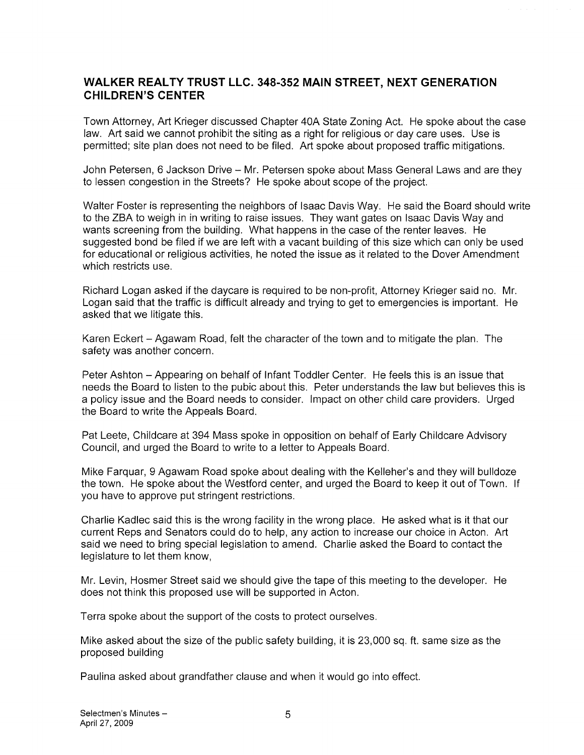## WALKER REALTY TRUST LLC. 348-352 MAIN STREET, NEXT GENERATION CHILDREN'S CENTER

Town Attorney, Art Krieger discussed Chapter 40A State Zoning Act. He spoke about the case law. Art said we cannot prohibit the siting as a right for religious or day care uses. Use is permitted; site plan does not need to be filed. Art spoke about proposed traffic mitigations.

John Petersen, 6 Jackson Drive — Mr. Petersen spoke about Mass General Laws and are they to lessen congestion in the Streets? He spoke about scope of the project.

Walter Foster is representing the neighbors of Isaac Davis Way. He said the Board should write to the ZBA to weigh in in writing to raise issues. They want gates on Isaac Davis Way and wants screening from the building. What happens in the case of the renter leaves. He suggested bond be filed if we are left with a vacant building of this size which can only be used for educational or religious activities, he noted the issue as it related to the Dover Amendment which restricts use.

Richard Logan asked if the daycare is required to be non-profit, Attorney Krieger said no. Mr. Logan said that the traffic is difficult already and trying to get to emergencies is important. He asked that we litigate this.

Karen Eckert — Agawam Road, felt the character of the town and to mitigate the plan. The safety was another concern.

Peter Ashton — Appearing on behalf of Infant Toddler Center. He feels this is an issue that needs the Board to listen to the pubic about this. Peter understands the law but believes this is a policy issue and the Board needs to consider. Impact on other child care providers. Urged the Board to write the Appeals Board.

Pat Leete, Childcare at 394 Mass spoke in opposition on behalf of Early Childcare Advisory Council, and urged the Board to write to a letter to Appeals Board.

Mike Farquar, 9 Agawam Road spoke about dealing with the Kelleher's and they will bulldoze the town. He spoke about the Westford center, and urged the Board to keep it out of Town. If you have to approve put stringent restrictions.

Charlie Kadlec said this is the wrong facility in the wrong place. He asked what is it that our current Reps and Senators could do to help, any action to increase our choice in Acton. Art said we need to bring special legislation to amend. Charlie asked the Board to contact the legislature to let them know,

Mr. Levin, Hosmer Street said we should give the tape of this meeting to the developer. He does not think this proposed use will be supported in Acton.

Terra spoke about the support of the costs to protect ourselves.

Mike asked about the size of the public safety building, it is 23,000 sq. ft. same size as the proposed building

Paulina asked about grandfather clause and when it would go into effect.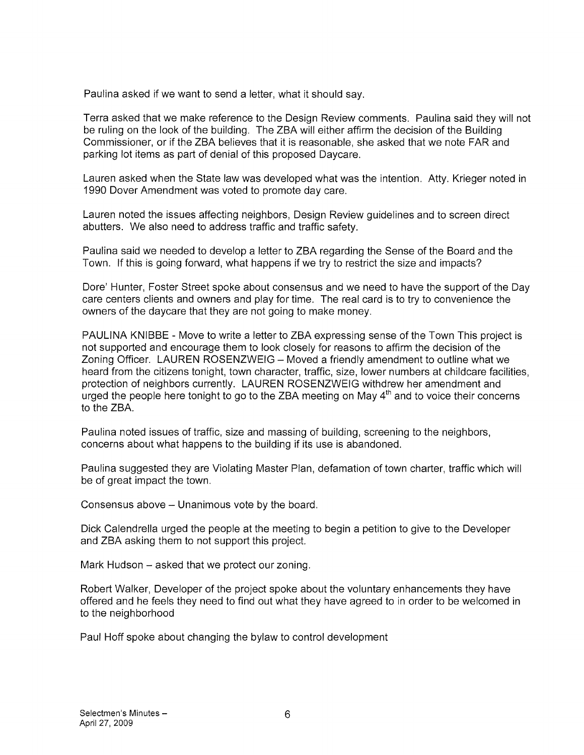Paulina asked if we want to send a letter, what it should say.

Terra asked that we make reference to the Design Review comments. Paulina said they will not be ruling on the look of the building. The ZBA will either affirm the decision of the Building Commissioner, or if the ZBA believes that it is reasonable, she asked that we note FAR and parking lot items as part of denial of this proposed Daycare.

Lauren asked when the State law was developed what was the intention. Atty. Krieger noted in 1990 Dover Amendment was voted to promote day care.

Lauren noted the issues affecting neighbors, Design Review guidelines and to screen direct abutters. We also need to address traffic and traffic safety.

Paulina said we needed to develop a letter to ZBA regarding the Sense of the Board and the Town. If this is going forward, what happens if we try to restrict the size and impacts?

Dore' Hunter, Foster Street spoke about consensus and we need to have the support of the Day care centers clients and owners and play for time. The real card is to try to convenience the owners of the daycare that they are not going to make money.

PAULINA KNIBBE - Move to write a letter to ZBA expressing sense of the Town This project is not supported and encourage them to look closely for reasons to affirm the decision of the Zoning Officer. LAUREN ROSENZWEIG — Moved a friendly amendment to outline what we heard from the citizens tonight, town character, traffic, size, lower numbers at childcare facilities, protection of neighbors currently. LAUREN ROSENZWEIG withdrew her amendment and urged the people here tonight to go to the ZBA meeting on May  $4<sup>th</sup>$  and to voice their concerns to the ZBA.

Paulina noted issues of traffic, size and massing of building, screening to the neighbors, concerns about what happens to the building if its use is abandoned.

Paulina suggested they are Violating Master Plan, defamation of town charter, traffic which will be of great impact the town.

Consensus above — Unanimous vote by the board.

Dick Calendrella urged the people at the meeting to begin a petition to give to the Developer and ZBA asking them to not support this project.

Mark Hudson — asked that we protect our zoning.

Robert Walker, Developer of the project spoke about the voluntary enhancements they have offered and he feels they need to find out what they have agreed to in order to be welcomed in to the neighborhood

Paul Hoff spoke about changing the bylaw to control development